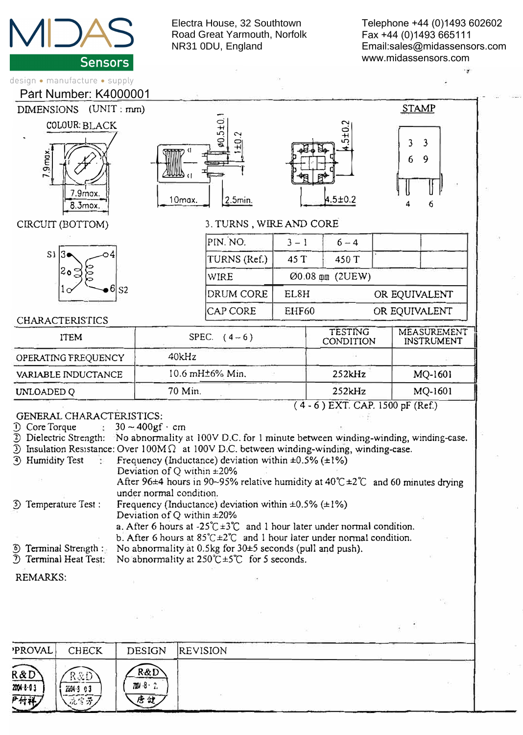

Electra House, 32 Southtown Road Great Yarmouth, Norfolk NR31 0DU, England

Telephone +44 (0)1493 602602 Fax +44 (0)1493 665111 Email:sales@midassensors.com www.midassensors.com



| <b>PROVAL</b>                 | <b>CHECK</b>            | <b>DESIGN</b>            | <b>REVISION</b> |  |
|-------------------------------|-------------------------|--------------------------|-----------------|--|
| R&D<br>$2004 - 8 - 03$<br>开付祥 | R&D<br>Zi04-3 03<br>航空牙 | $R\&D$<br>760/8 ∴2<br>唐健 |                 |  |